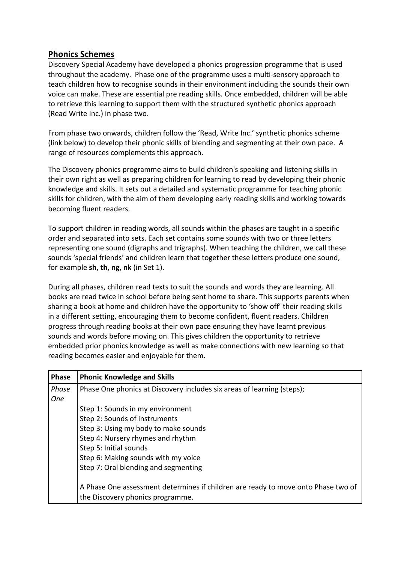## **Phonics Schemes**

Discovery Special Academy have developed a phonics progression programme that is used throughout the academy. Phase one of the programme uses a multi-sensory approach to teach children how to recognise sounds in their environment including the sounds their own voice can make. These are essential pre reading skills. Once embedded, children will be able to retrieve this learning to support them with the structured synthetic phonics approach (Read Write Inc.) in phase two.

From phase two onwards, children follow the 'Read, Write Inc.' synthetic phonics scheme (link below) to develop their phonic skills of blending and segmenting at their own pace. A range of resources complements this approach.

The Discovery phonics programme aims to build children's speaking and listening skills in their own right as well as preparing children for learning to read by developing their phonic knowledge and skills. It sets out a detailed and systematic programme for teaching phonic skills for children, with the aim of them developing early reading skills and working towards becoming fluent readers.

To support children in reading words, all sounds within the phases are taught in a specific order and separated into sets. Each set contains some sounds with two or three letters representing one sound (digraphs and trigraphs). When teaching the children, we call these sounds 'special friends' and children learn that together these letters produce one sound, for example **sh, th, ng, nk** (in Set 1).

During all phases, children read texts to suit the sounds and words they are learning. All books are read twice in school before being sent home to share. This supports parents when sharing a book at home and children have the opportunity to 'show off' their reading skills in a different setting, encouraging them to become confident, fluent readers. Children progress through reading books at their own pace ensuring they have learnt previous sounds and words before moving on. This gives children the opportunity to retrieve embedded prior phonics knowledge as well as make connections with new learning so that reading becomes easier and enjoyable for them.

| <b>Phase</b> | <b>Phonic Knowledge and Skills</b>                                                |  |  |  |  |  |
|--------------|-----------------------------------------------------------------------------------|--|--|--|--|--|
| Phase        | Phase One phonics at Discovery includes six areas of learning (steps);            |  |  |  |  |  |
| <b>One</b>   |                                                                                   |  |  |  |  |  |
|              | Step 1: Sounds in my environment                                                  |  |  |  |  |  |
|              | Step 2: Sounds of instruments                                                     |  |  |  |  |  |
|              | Step 3: Using my body to make sounds                                              |  |  |  |  |  |
|              | Step 4: Nursery rhymes and rhythm                                                 |  |  |  |  |  |
|              | Step 5: Initial sounds                                                            |  |  |  |  |  |
|              | Step 6: Making sounds with my voice                                               |  |  |  |  |  |
|              | Step 7: Oral blending and segmenting                                              |  |  |  |  |  |
|              |                                                                                   |  |  |  |  |  |
|              | A Phase One assessment determines if children are ready to move onto Phase two of |  |  |  |  |  |
|              | the Discovery phonics programme.                                                  |  |  |  |  |  |